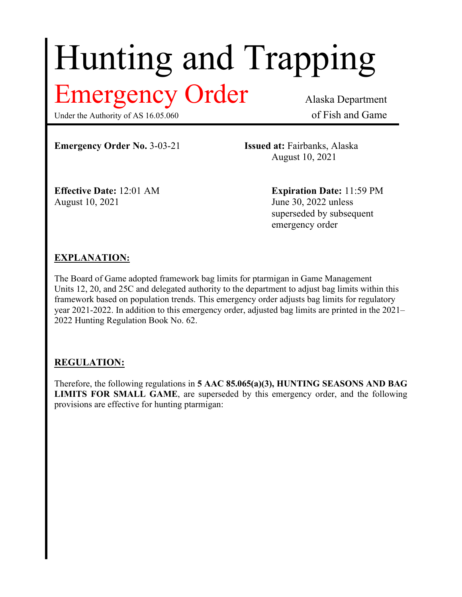# Hunting and Trapping

# Emergency Order Alaska Department

Under the Authority of AS 16.05.060 of Fish and Game

**Emergency Order No.** 3-03-21 **Issued at:** Fairbanks, Alaska

August 10, 2021

August 10, 2021 **June 30, 2022** unless

**Effective Date:** 12:01 AM **Expiration Date:** 11:59 PM superseded by subsequent emergency order

## **EXPLANATION:**

The Board of Game adopted framework bag limits for ptarmigan in Game Management Units 12, 20, and 25C and delegated authority to the department to adjust bag limits within this framework based on population trends. This emergency order adjusts bag limits for regulatory year 2021-2022. In addition to this emergency order, adjusted bag limits are printed in the 2021– 2022 Hunting Regulation Book No. 62.

## **REGULATION:**

Therefore, the following regulations in **5 AAC 85.065(a)(3), HUNTING SEASONS AND BAG LIMITS FOR SMALL GAME**, are superseded by this emergency order, and the following provisions are effective for hunting ptarmigan: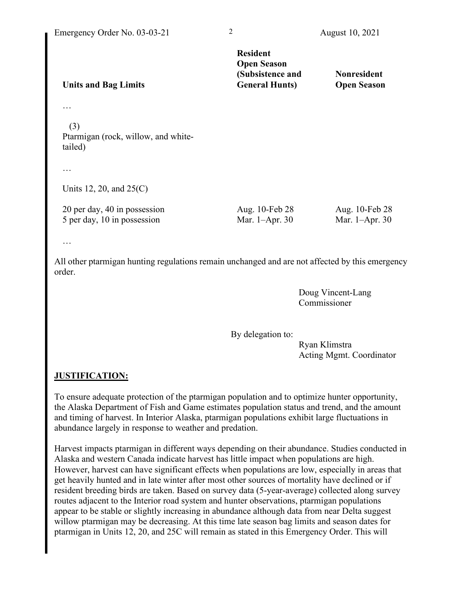| <b>Units and Bag Limits</b>                                 | <b>Resident</b><br><b>Open Season</b><br>(Subsistence and<br><b>General Hunts)</b> | <b>Nonresident</b><br><b>Open Season</b> |
|-------------------------------------------------------------|------------------------------------------------------------------------------------|------------------------------------------|
|                                                             |                                                                                    |                                          |
| (3)<br>Ptarmigan (rock, willow, and white-<br>tailed)       |                                                                                    |                                          |
|                                                             |                                                                                    |                                          |
| Units 12, 20, and $25(C)$                                   |                                                                                    |                                          |
| 20 per day, 40 in possession<br>5 per day, 10 in possession | Aug. 10-Feb 28<br>Mar. 1-Apr. 30                                                   | Aug. 10-Feb 28<br>Mar. 1-Apr. 30         |
| $\cdots$                                                    |                                                                                    |                                          |

All other ptarmigan hunting regulations remain unchanged and are not affected by this emergency order.

> Doug Vincent-Lang Commissioner

By delegation to:

Ryan Klimstra Acting Mgmt. Coordinator

#### **JUSTIFICATION:**

To ensure adequate protection of the ptarmigan population and to optimize hunter opportunity, the Alaska Department of Fish and Game estimates population status and trend, and the amount and timing of harvest. In Interior Alaska, ptarmigan populations exhibit large fluctuations in abundance largely in response to weather and predation.

Harvest impacts ptarmigan in different ways depending on their abundance. Studies conducted in Alaska and western Canada indicate harvest has little impact when populations are high. However, harvest can have significant effects when populations are low, especially in areas that get heavily hunted and in late winter after most other sources of mortality have declined or if resident breeding birds are taken. Based on survey data (5-year-average) collected along survey routes adjacent to the Interior road system and hunter observations, ptarmigan populations appear to be stable or slightly increasing in abundance although data from near Delta suggest willow ptarmigan may be decreasing. At this time late season bag limits and season dates for ptarmigan in Units 12, 20, and 25C will remain as stated in this Emergency Order. This will